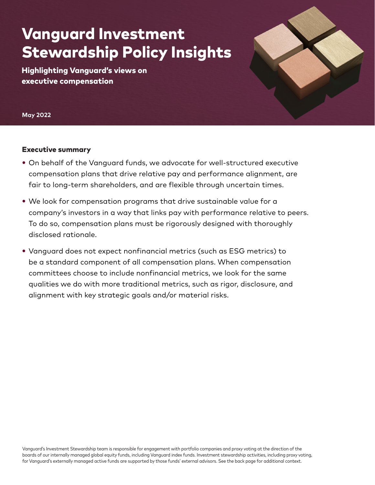# Vanguard Investment Stewardship Policy Insights

Highlighting Vanguard's views on executive compensation

**May 2022**

### Executive summary

- On behalf of the Vanguard funds, we advocate for well-structured executive compensation plans that drive relative pay and performance alignment, are fair to long-term shareholders, and are flexible through uncertain times.
- We look for compensation programs that drive sustainable value for a company's investors in a way that links pay with performance relative to peers. To do so, compensation plans must be rigorously designed with thoroughly disclosed rationale.
- Vanguard does not expect nonfinancial metrics (such as ESG metrics) to be a standard component of all compensation plans. When compensation committees choose to include nonfinancial metrics, we look for the same qualities we do with more traditional metrics, such as rigor, disclosure, and alignment with key strategic goals and/or material risks.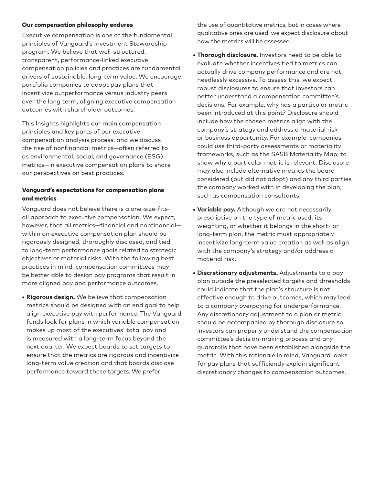#### Our compensation philosophy endures

Executive compensation is one of the fundamental principles of Vanguard's Investment Stewardship program. We believe that well-structured, transparent, performance-linked executive compensation policies and practices are fundamental drivers of sustainable, long-term value. We encourage portfolio companies to adopt pay plans that incentivize outperformance versus industry peers over the long term, aligning executive compensation outcomes with shareholder outcomes.

This Insights highlights our main compensation principles and key parts of our executive compensation analysis process, and we discuss the rise of nonfinancial metrics—often referred to as environmental, social, and governance (ESG) metrics—in executive compensation plans to share our perspectives on best practices.

#### Vanguard's expectations for compensation plans and metrics

Vanguard does not believe there is a one-size-fitsall approach to executive compensation. We expect, however, that all metrics—financial and nonfinancial within an executive compensation plan should be rigorously designed, thoroughly disclosed, and tied to long-term performance goals related to strategic objectives or material risks. With the following best practices in mind, compensation committees may be better able to design pay programs that result in more aligned pay and performance outcomes.

**• Rigorous design.** We believe that compensation metrics should be designed with an end goal to help align executive pay with performance. The Vanguard funds look for plans in which variable compensation makes up most of the executives' total pay and is measured with a long-term focus beyond the next quarter. We expect boards to set targets to ensure that the metrics are rigorous and incentivize long-term value creation and that boards disclose performance toward these targets. We prefer

the use of quantitative metrics, but in cases where qualitative ones are used, we expect disclosure about how the metrics will be assessed.

- **• Thorough disclosure.** Investors need to be able to evaluate whether incentives tied to metrics can actually drive company performance and are not needlessly excessive. To assess this, we expect robust disclosures to ensure that investors can better understand a compensation committee's decisions. For example, why has a particular metric been introduced at this point? Disclosure should include how the chosen metrics align with the company's strategy and address a material risk or business opportunity. For example, companies could use third-party assessments or materiality frameworks, such as the SASB Materiality Map, to show why a particular metric is relevant. Disclosure may also include alternative metrics the board considered (but did not adopt) and any third parties the company worked with in developing the plan, such as compensation consultants.
- **• Variable pay.** Although we are not necessarily prescriptive on the type of metric used, its weighting, or whether it belongs in the short- or long-term plan, the metric must appropriately incentivize long-term value creation as well as align with the company's strategy and/or address a material risk.
- **• Discretionary adjustments.** Adjustments to a pay plan outside the preselected targets and thresholds could indicate that the plan's structure is not effective enough to drive outcomes, which may lead to a company overpaying for underperformance. Any discretionary adjustment to a plan or metric should be accompanied by thorough disclosure so investors can properly understand the compensation committee's decision-making process and any guardrails that have been established alongside the metric. With this rationale in mind, Vanguard looks for pay plans that sufficiently explain significant discretionary changes to compensation outcomes.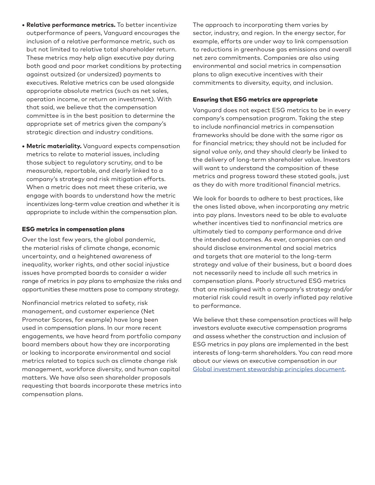- **• Relative performance metrics.** To better incentivize outperformance of peers, Vanguard encourages the inclusion of a relative performance metric, such as but not limited to relative total shareholder return. These metrics may help align executive pay during both good and poor market conditions by protecting against outsized (or undersized) payments to executives. Relative metrics can be used alongside appropriate absolute metrics (such as net sales, operation income, or return on investment). With that said, we believe that the compensation committee is in the best position to determine the appropriate set of metrics given the company's strategic direction and industry conditions.
- **• Metric materiality.** Vanguard expects compensation metrics to relate to material issues, including those subject to regulatory scrutiny, and to be measurable, reportable, and clearly linked to a company's strategy and risk mitigation efforts. When a metric does not meet these criteria, we engage with boards to understand how the metric incentivizes long-term value creation and whether it is appropriate to include within the compensation plan.

#### ESG metrics in compensation plans

Over the last few years, the global pandemic, the material risks of climate change, economic uncertainty, and a heightened awareness of inequality, worker rights, and other social injustice issues have prompted boards to consider a wider range of metrics in pay plans to emphasize the risks and opportunities these matters pose to company strategy.

Nonfinancial metrics related to safety, risk management, and customer experience (Net Promoter Scores, for example) have long been used in compensation plans. In our more recent engagements, we have heard from portfolio company board members about how they are incorporating or looking to incorporate environmental and social metrics related to topics such as climate change risk management, workforce diversity, and human capital matters. We have also seen shareholder proposals requesting that boards incorporate these metrics into compensation plans.

The approach to incorporating them varies by sector, industry, and region. In the energy sector, for example, efforts are under way to link compensation to reductions in greenhouse gas emissions and overall net zero commitments. Companies are also using environmental and social metrics in compensation plans to align executive incentives with their commitments to diversity, equity, and inclusion.

#### Ensuring that ESG metrics are appropriate

Vanguard does not expect ESG metrics to be in every company's compensation program. Taking the step to include nonfinancial metrics in compensation frameworks should be done with the same rigor as for financial metrics; they should not be included for signal value only, and they should clearly be linked to the delivery of long-term shareholder value. Investors will want to understand the composition of these metrics and progress toward these stated goals, just as they do with more traditional financial metrics.

We look for boards to adhere to best practices, like the ones listed above, when incorporating any metric into pay plans. Investors need to be able to evaluate whether incentives tied to nonfinancial metrics are ultimately tied to company performance and drive the intended outcomes. As ever, companies can and should disclose environmental and social metrics and targets that are material to the long-term strategy and value of their business, but a board does not necessarily need to include all such metrics in compensation plans. Poorly structured ESG metrics that are misaligned with a company's strategy and/or material risk could result in overly inflated pay relative to performance.

We believe that these compensation practices will help investors evaluate executive compensation programs and assess whether the construction and inclusion of ESG metrics in pay plans are implemented in the best interests of long-term shareholders. You can read more about our views on executive compensation in our [Global investment stewardship principles document](https://corporate.vanguard.com/content/dam/corp/research/pdf/Global%20investment%20stewardship%20principles_final_112021.pdf).